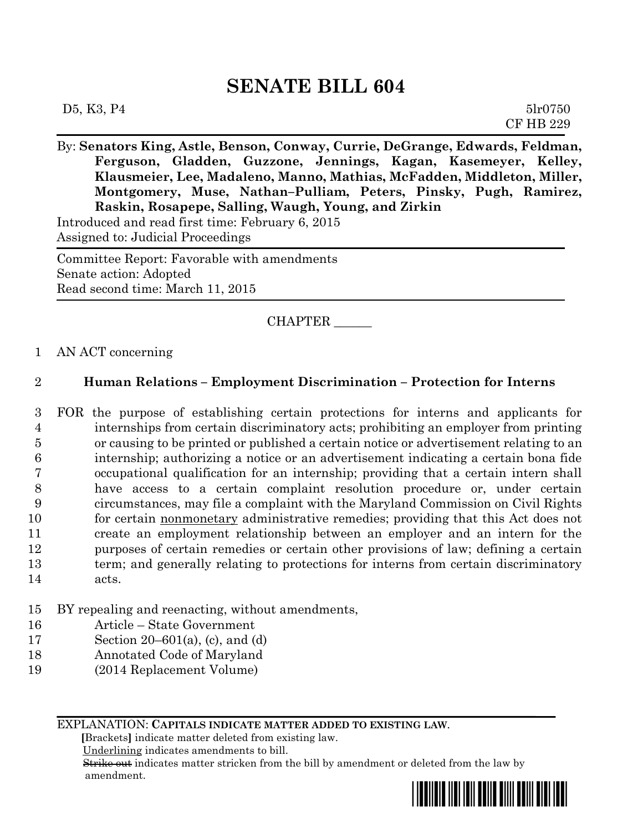## **SENATE BILL 604**

| D5, K3, P4 | 51r0750          |
|------------|------------------|
|            | <b>CF HB 229</b> |

By: **Senators King, Astle, Benson, Conway, Currie, DeGrange, Edwards, Feldman, Ferguson, Gladden, Guzzone, Jennings, Kagan, Kasemeyer, Kelley, Klausmeier, Lee, Madaleno, Manno, Mathias, McFadden, Middleton, Miller, Montgomery, Muse, Nathan–Pulliam, Peters, Pinsky, Pugh, Ramirez, Raskin, Rosapepe, Salling, Waugh, Young, and Zirkin**

Introduced and read first time: February 6, 2015

Assigned to: Judicial Proceedings

Committee Report: Favorable with amendments Senate action: Adopted Read second time: March 11, 2015

CHAPTER \_\_\_\_\_\_

1 AN ACT concerning

## 2 **Human Relations – Employment Discrimination – Protection for Interns**

- 3 FOR the purpose of establishing certain protections for interns and applicants for 4 internships from certain discriminatory acts; prohibiting an employer from printing 5 or causing to be printed or published a certain notice or advertisement relating to an 6 internship; authorizing a notice or an advertisement indicating a certain bona fide 7 occupational qualification for an internship; providing that a certain intern shall 8 have access to a certain complaint resolution procedure or, under certain 9 circumstances, may file a complaint with the Maryland Commission on Civil Rights 10 for certain <u>nonmonetary</u> administrative remedies; providing that this Act does not 11 create an employment relationship between an employer and an intern for the 12 purposes of certain remedies or certain other provisions of law; defining a certain 13 term; and generally relating to protections for interns from certain discriminatory 14 acts.
- 15 BY repealing and reenacting, without amendments,
- 16 Article State Government
- 17 Section 20–601(a), (c), and (d)
- 18 Annotated Code of Maryland
- 19 (2014 Replacement Volume)

EXPLANATION: **CAPITALS INDICATE MATTER ADDED TO EXISTING LAW**.

 **[**Brackets**]** indicate matter deleted from existing law.

Underlining indicates amendments to bill.

 Strike out indicates matter stricken from the bill by amendment or deleted from the law by amendment.

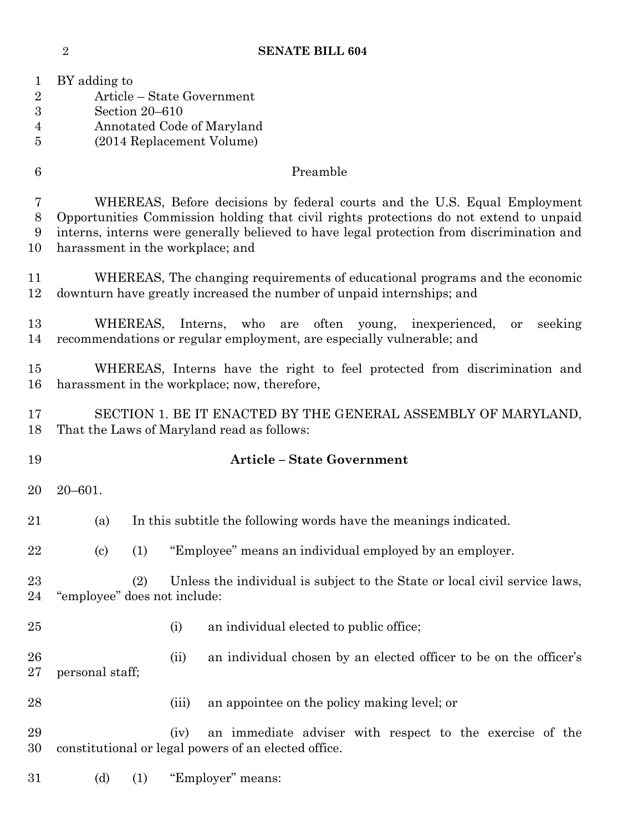**SENATE BILL 604**

| 1<br>$\overline{2}$<br>$\boldsymbol{3}$<br>4<br>5 | BY adding to                                                                                                                                                                                                                                                                                         | Section 20-610 |       | Article – State Government<br>Annotated Code of Maryland<br>(2014 Replacement Volume)                            |  |  |
|---------------------------------------------------|------------------------------------------------------------------------------------------------------------------------------------------------------------------------------------------------------------------------------------------------------------------------------------------------------|----------------|-------|------------------------------------------------------------------------------------------------------------------|--|--|
| $6\phantom{.}6$                                   | Preamble                                                                                                                                                                                                                                                                                             |                |       |                                                                                                                  |  |  |
| 7<br>$8\,$<br>9<br>10                             | WHEREAS, Before decisions by federal courts and the U.S. Equal Employment<br>Opportunities Commission holding that civil rights protections do not extend to unpaid<br>interns, interns were generally believed to have legal protection from discrimination and<br>harassment in the workplace; and |                |       |                                                                                                                  |  |  |
| 11<br>12                                          | WHEREAS, The changing requirements of educational programs and the economic<br>downturn have greatly increased the number of unpaid internships; and                                                                                                                                                 |                |       |                                                                                                                  |  |  |
| 13<br>14                                          | WHEREAS,<br>Interns,<br>who<br>often<br>seeking<br>are<br>young, inexperienced,<br><b>or</b><br>recommendations or regular employment, are especially vulnerable; and                                                                                                                                |                |       |                                                                                                                  |  |  |
| 15<br>16                                          | WHEREAS, Interns have the right to feel protected from discrimination and<br>harassment in the workplace; now, therefore,                                                                                                                                                                            |                |       |                                                                                                                  |  |  |
| 17<br>18                                          |                                                                                                                                                                                                                                                                                                      |                |       | SECTION 1. BE IT ENACTED BY THE GENERAL ASSEMBLY OF MARYLAND,<br>That the Laws of Maryland read as follows:      |  |  |
| 19                                                |                                                                                                                                                                                                                                                                                                      |                |       | <b>Article - State Government</b>                                                                                |  |  |
| 20                                                | $20 - 601.$                                                                                                                                                                                                                                                                                          |                |       |                                                                                                                  |  |  |
| 21                                                | In this subtitle the following words have the meanings indicated.<br>(a)                                                                                                                                                                                                                             |                |       |                                                                                                                  |  |  |
| 22                                                | $\left( \mathrm{c}\right)$                                                                                                                                                                                                                                                                           | (1)            |       | "Employee" means an individual employed by an employer.                                                          |  |  |
| 23<br>24                                          | "employee" does not include:                                                                                                                                                                                                                                                                         | (2)            |       | Unless the individual is subject to the State or local civil service laws,                                       |  |  |
| 25                                                |                                                                                                                                                                                                                                                                                                      |                | (i)   | an individual elected to public office;                                                                          |  |  |
| 26<br>27                                          | personal staff;                                                                                                                                                                                                                                                                                      |                | (ii)  | an individual chosen by an elected officer to be on the officer's                                                |  |  |
| 28                                                |                                                                                                                                                                                                                                                                                                      |                | (iii) | an appointee on the policy making level; or                                                                      |  |  |
| 29<br>30                                          |                                                                                                                                                                                                                                                                                                      |                | (iv)  | an immediate adviser with respect to the exercise of the<br>constitutional or legal powers of an elected office. |  |  |
| 31                                                | (d)                                                                                                                                                                                                                                                                                                  | (1)            |       | "Employer" means:                                                                                                |  |  |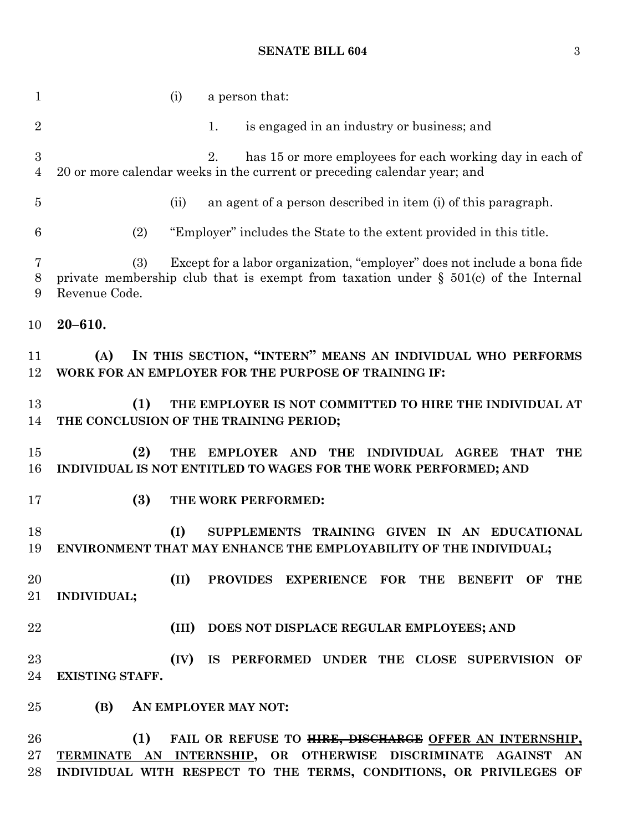## **SENATE BILL 604** 3

 (i) a person that: 2 1. is engaged in an industry or business; and 2. has 15 or more employees for each working day in each of 20 or more calendar weeks in the current or preceding calendar year; and (ii) an agent of a person described in item (i) of this paragraph. (2) "Employer" includes the State to the extent provided in this title. (3) Except for a labor organization, "employer" does not include a bona fide private membership club that is exempt from taxation under § 501(c) of the Internal Revenue Code. **20–610. (A) IN THIS SECTION, "INTERN" MEANS AN INDIVIDUAL WHO PERFORMS WORK FOR AN EMPLOYER FOR THE PURPOSE OF TRAINING IF: (1) THE EMPLOYER IS NOT COMMITTED TO HIRE THE INDIVIDUAL AT THE CONCLUSION OF THE TRAINING PERIOD; (2) THE EMPLOYER AND THE INDIVIDUAL AGREE THAT THE INDIVIDUAL IS NOT ENTITLED TO WAGES FOR THE WORK PERFORMED; AND (3) THE WORK PERFORMED: (I) SUPPLEMENTS TRAINING GIVEN IN AN EDUCATIONAL ENVIRONMENT THAT MAY ENHANCE THE EMPLOYABILITY OF THE INDIVIDUAL; (II) PROVIDES EXPERIENCE FOR THE BENEFIT OF THE INDIVIDUAL; (III) DOES NOT DISPLACE REGULAR EMPLOYEES; AND (IV) IS PERFORMED UNDER THE CLOSE SUPERVISION OF EXISTING STAFF. (B) AN EMPLOYER MAY NOT: (1) FAIL OR REFUSE TO HIRE, DISCHARGE OFFER AN INTERNSHIP, TERMINATE AN INTERNSHIP, OR OTHERWISE DISCRIMINATE AGAINST AN INDIVIDUAL WITH RESPECT TO THE TERMS, CONDITIONS, OR PRIVILEGES OF**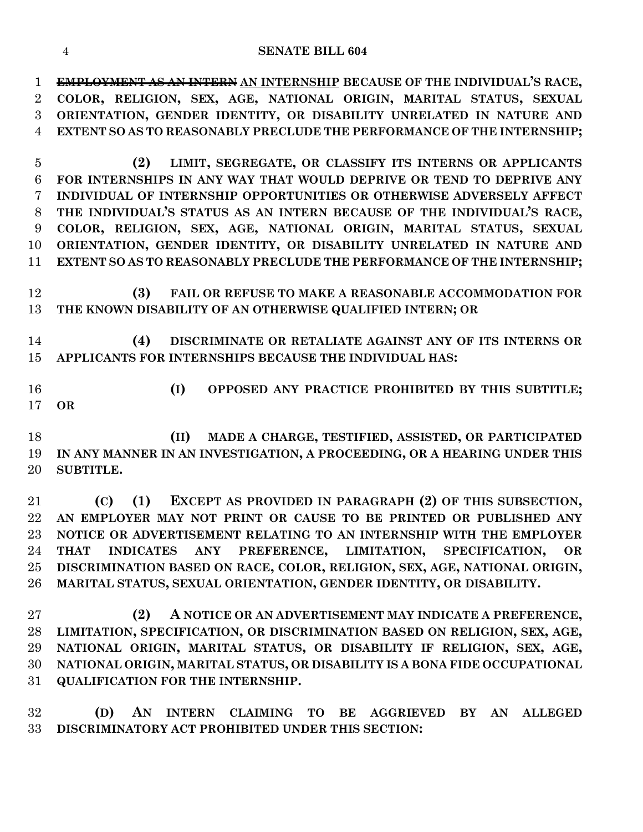## **SENATE BILL 604**

 **EMPLOYMENT AS AN INTERN AN INTERNSHIP BECAUSE OF THE INDIVIDUAL'S RACE, COLOR, RELIGION, SEX, AGE, NATIONAL ORIGIN, MARITAL STATUS, SEXUAL ORIENTATION, GENDER IDENTITY, OR DISABILITY UNRELATED IN NATURE AND EXTENT SO AS TO REASONABLY PRECLUDE THE PERFORMANCE OF THE INTERNSHIP;**

 **(2) LIMIT, SEGREGATE, OR CLASSIFY ITS INTERNS OR APPLICANTS FOR INTERNSHIPS IN ANY WAY THAT WOULD DEPRIVE OR TEND TO DEPRIVE ANY INDIVIDUAL OF INTERNSHIP OPPORTUNITIES OR OTHERWISE ADVERSELY AFFECT THE INDIVIDUAL'S STATUS AS AN INTERN BECAUSE OF THE INDIVIDUAL'S RACE, COLOR, RELIGION, SEX, AGE, NATIONAL ORIGIN, MARITAL STATUS, SEXUAL ORIENTATION, GENDER IDENTITY, OR DISABILITY UNRELATED IN NATURE AND EXTENT SO AS TO REASONABLY PRECLUDE THE PERFORMANCE OF THE INTERNSHIP;**

 **(3) FAIL OR REFUSE TO MAKE A REASONABLE ACCOMMODATION FOR THE KNOWN DISABILITY OF AN OTHERWISE QUALIFIED INTERN; OR**

 **(4) DISCRIMINATE OR RETALIATE AGAINST ANY OF ITS INTERNS OR APPLICANTS FOR INTERNSHIPS BECAUSE THE INDIVIDUAL HAS:**

 **(I) OPPOSED ANY PRACTICE PROHIBITED BY THIS SUBTITLE; OR**

 **(II) MADE A CHARGE, TESTIFIED, ASSISTED, OR PARTICIPATED IN ANY MANNER IN AN INVESTIGATION, A PROCEEDING, OR A HEARING UNDER THIS SUBTITLE.**

 **(C) (1) EXCEPT AS PROVIDED IN PARAGRAPH (2) OF THIS SUBSECTION, AN EMPLOYER MAY NOT PRINT OR CAUSE TO BE PRINTED OR PUBLISHED ANY NOTICE OR ADVERTISEMENT RELATING TO AN INTERNSHIP WITH THE EMPLOYER THAT INDICATES ANY PREFERENCE, LIMITATION, SPECIFICATION, OR DISCRIMINATION BASED ON RACE, COLOR, RELIGION, SEX, AGE, NATIONAL ORIGIN, MARITAL STATUS, SEXUAL ORIENTATION, GENDER IDENTITY, OR DISABILITY.**

 **(2) A NOTICE OR AN ADVERTISEMENT MAY INDICATE A PREFERENCE, LIMITATION, SPECIFICATION, OR DISCRIMINATION BASED ON RELIGION, SEX, AGE, NATIONAL ORIGIN, MARITAL STATUS, OR DISABILITY IF RELIGION, SEX, AGE, NATIONAL ORIGIN, MARITAL STATUS, OR DISABILITY IS A BONA FIDE OCCUPATIONAL QUALIFICATION FOR THE INTERNSHIP.**

 **(D) AN INTERN CLAIMING TO BE AGGRIEVED BY AN ALLEGED DISCRIMINATORY ACT PROHIBITED UNDER THIS SECTION:**